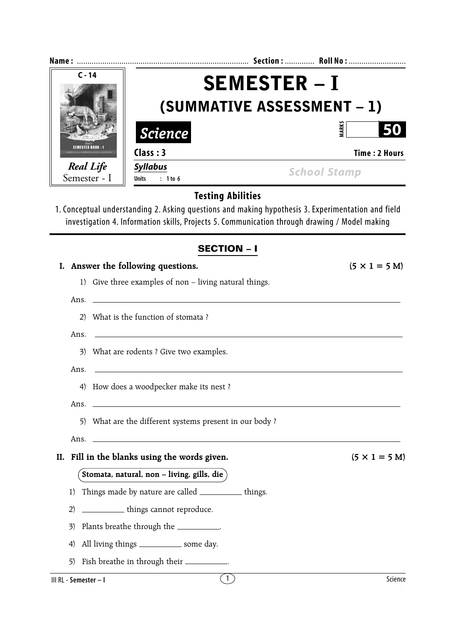| $C - 14$                                                                        | <b>SEMESTER - I</b>                                    |                                                                                                    |  |  |  |
|---------------------------------------------------------------------------------|--------------------------------------------------------|----------------------------------------------------------------------------------------------------|--|--|--|
|                                                                                 | (SUMMATIVE ASSESSMENT - 1)                             |                                                                                                    |  |  |  |
| <b>Science</b>                                                                  |                                                        | MARKS<br>50                                                                                        |  |  |  |
| SEMESTER BOOK - I                                                               | Class: 3                                               | Time: 2 Hours                                                                                      |  |  |  |
| <b>Real Life</b><br><b>Syllabus</b><br>Semester - I<br>: 1 to 6<br><b>Units</b> |                                                        | <b>School Stamp</b>                                                                                |  |  |  |
|                                                                                 | <b>Testing Abilities</b>                               |                                                                                                    |  |  |  |
|                                                                                 |                                                        | 1. Conceptual understanding 2. Asking questions and making hypothesis 3. Experimentation and field |  |  |  |
|                                                                                 |                                                        | investigation 4. Information skills, Projects 5. Communication through drawing / Model making      |  |  |  |
|                                                                                 | <b>SECTION - I</b>                                     |                                                                                                    |  |  |  |
|                                                                                 | Answer the following questions.                        | $(5 \times 1 = 5 M)$                                                                               |  |  |  |
|                                                                                 | 1) Give three examples of non – living natural things. |                                                                                                    |  |  |  |
|                                                                                 | Ans.                                                   |                                                                                                    |  |  |  |
| 2)                                                                              | What is the function of stomata?                       |                                                                                                    |  |  |  |
| Ans.                                                                            |                                                        |                                                                                                    |  |  |  |
|                                                                                 | 3) What are rodents ? Give two examples.               |                                                                                                    |  |  |  |
|                                                                                 |                                                        |                                                                                                    |  |  |  |
| Ans.                                                                            |                                                        |                                                                                                    |  |  |  |
|                                                                                 | 4) How does a woodpecker make its nest ?               |                                                                                                    |  |  |  |

- 5) What are the different systems present in our body ?
- Ans.

Ans.

### **II.** Fill in the blanks using the words given.  $(5 \times 1 = 5 \text{ M})$

## **Stomata, natural, non – living, gills, die**

- 1) Things made by nature are called \_\_\_\_\_\_\_\_\_\_ things.
- 2) \_\_\_\_\_\_\_\_\_\_\_ things cannot reproduce.
- 3) Plants breathe through the \_\_\_\_\_\_\_\_\_\_.
- 4) All living things \_\_\_\_\_\_\_\_\_\_\_\_ some day.
- 5) Fish breathe in through their  $\frac{1}{2}$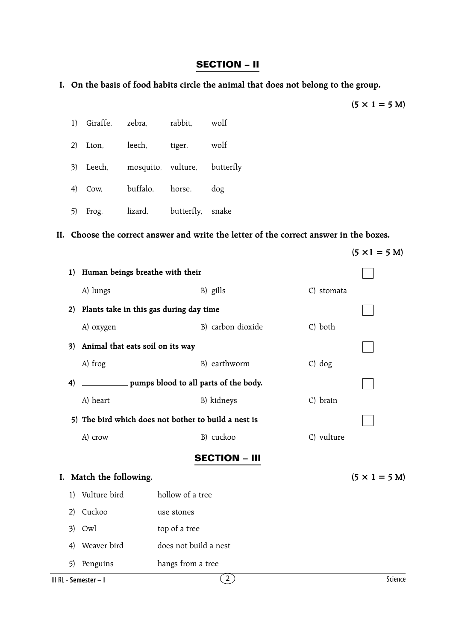#### **SECTION – II**

## **I. On the basis of food habits circle the animal that does not belong to the group.**

$$
(5 \times 1 = 5 \text{ M})
$$

|  | 1) Giraffe, zebra, rabbit, wolf        |  |
|--|----------------------------------------|--|
|  | 2) Lion, leech, tiger, wolf            |  |
|  | 3) Leech, mosquito, vulture, butterfly |  |
|  | 4) Cow, buffalo, horse, dog            |  |
|  | 5) Frog, lizard, butterfly, snake      |  |

#### **II. Choose the correct answer and write the letter of the correct answer in the boxes.**

|                       |                                         |                                                      | $(5 \times 1 = 5 M)$ |
|-----------------------|-----------------------------------------|------------------------------------------------------|----------------------|
| 1)                    | Human beings breathe with their         |                                                      |                      |
|                       | A) lungs                                | B) gills                                             | C) stomata           |
| 2)                    | Plants take in this gas during day time |                                                      |                      |
|                       | A) oxygen                               | B) carbon dioxide<br>C) both                         |                      |
| 3)                    | Animal that eats soil on its way        |                                                      |                      |
|                       | A) frog                                 | B) earthworm<br>$C)$ dog                             |                      |
| 4)                    |                                         |                                                      |                      |
|                       | A) heart                                | B) kidneys                                           | C) brain             |
|                       |                                         | 5) The bird which does not bother to build a nest is |                      |
|                       | A) crow                                 | B) cuckoo                                            | C) vulture           |
|                       |                                         | <b>SECTION - III</b>                                 |                      |
| I.                    | Match the following.                    |                                                      | $(5 \times 1 = 5 M)$ |
| 1)                    | Vulture bird                            | hollow of a tree                                     |                      |
| 2)                    | Cuckoo                                  | use stones                                           |                      |
| 3)                    | Owl                                     | top of a tree                                        |                      |
| 4)                    | Weaver bird                             | does not build a nest                                |                      |
| 5)                    | Penguins                                | hangs from a tree                                    |                      |
| III RL - Semester - I |                                         | $\mathbf{2}$ )                                       | Science              |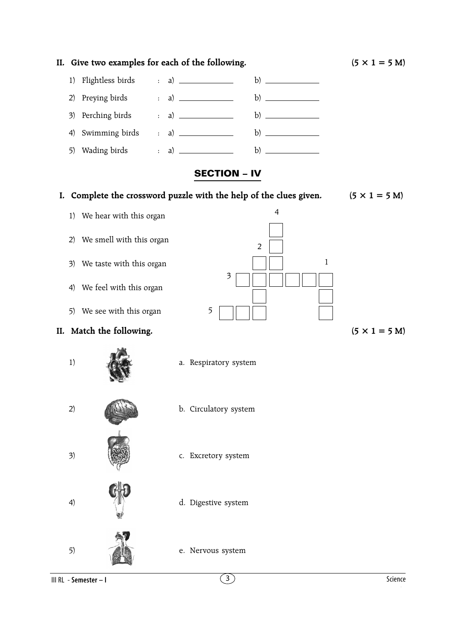

**II.** Give two examples for each of the following.  $(5 \times 1 = 5 \text{ M})$